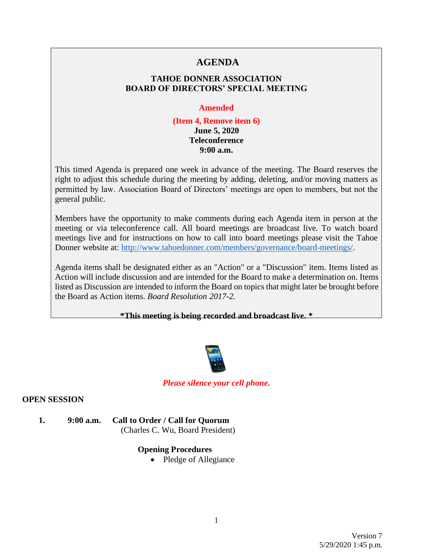# **AGENDA**

# **TAHOE DONNER ASSOCIATION BOARD OF DIRECTORS' SPECIAL MEETING**

#### **Amended**

### **(Item 4, Remove item 6) June 5, 2020 Teleconference 9:00 a.m.**

This timed Agenda is prepared one week in advance of the meeting. The Board reserves the right to adjust this schedule during the meeting by adding, deleting, and/or moving matters as permitted by law. Association Board of Directors' meetings are open to members, but not the general public.

Members have the opportunity to make comments during each Agenda item in person at the meeting or via teleconference call. All board meetings are broadcast live. To watch board meetings live and for instructions on how to call into board meetings please visit the Tahoe Donner website at: [http://www.tahoedonner.com/members/governance/board-meetings/.](http://www.tahoedonner.com/members/governance/board-meetings/)

Agenda items shall be designated either as an "Action" or a "Discussion" item. Items listed as Action will include discussion and are intended for the Board to make a determination on. Items listed as Discussion are intended to inform the Board on topics that might later be brought before the Board as Action items. *Board Resolution 2017-2.*

**\*This meeting is being recorded and broadcast live. \***



*Please silence your cell phone.*

### **OPEN SESSION**

**1. 9:00 a.m. Call to Order / Call for Quorum** (Charles C. Wu, Board President)

# **Opening Procedures**

• Pledge of Allegiance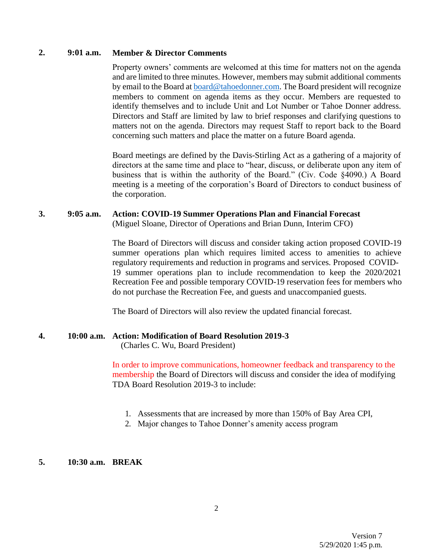### **2. 9:01 a.m. Member & Director Comments**

Property owners' comments are welcomed at this time for matters not on the agenda and are limited to three minutes. However, members may submit additional comments by email to the Board at [board@tahoedonner.com.](mailto:board@tahoedonner.com) The Board president will recognize members to comment on agenda items as they occur. Members are requested to identify themselves and to include Unit and Lot Number or Tahoe Donner address. Directors and Staff are limited by law to brief responses and clarifying questions to matters not on the agenda. Directors may request Staff to report back to the Board concerning such matters and place the matter on a future Board agenda.

Board meetings are defined by the Davis-Stirling Act as a gathering of a majority of directors at the same time and place to "hear, discuss, or deliberate upon any item of business that is within the authority of the Board." (Civ. Code §4090.) A Board meeting is a meeting of the corporation's Board of Directors to conduct business of the corporation.

#### **3. 9:05 a.m. Action: COVID-19 Summer Operations Plan and Financial Forecast**

(Miguel Sloane, Director of Operations and Brian Dunn, Interim CFO)

The Board of Directors will discuss and consider taking action proposed COVID-19 summer operations plan which requires limited access to amenities to achieve regulatory requirements and reduction in programs and services. Proposed COVID-19 summer operations plan to include recommendation to keep the 2020/2021 Recreation Fee and possible temporary COVID-19 reservation fees for members who do not purchase the Recreation Fee, and guests and unaccompanied guests.

The Board of Directors will also review the updated financial forecast.

# **4. 10:00 a.m. Action: Modification of Board Resolution 2019-3**

(Charles C. Wu, Board President)

In order to improve communications, homeowner feedback and transparency to the membership the Board of Directors will discuss and consider the idea of modifying TDA Board Resolution 2019-3 to include:

- 1. Assessments that are increased by more than 150% of Bay Area CPI,
- 2. Major changes to Tahoe Donner's amenity access program

### **5. 10:30 a.m. BREAK**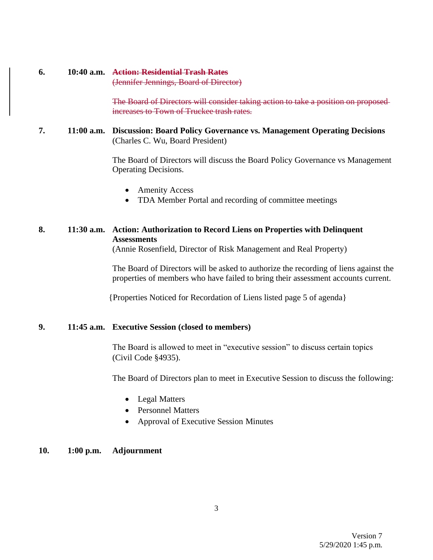### **6. 10:40 a.m. Action: Residential Trash Rates**

(Jennifer Jennings, Board of Director)

The Board of Directors will consider taking action to take a position on proposed increases to Town of Truckee trash rates.

### **7. 11:00 a.m. Discussion: Board Policy Governance vs. Management Operating Decisions** (Charles C. Wu, Board President)

The Board of Directors will discuss the Board Policy Governance vs Management Operating Decisions.

- Amenity Access
- TDA Member Portal and recording of committee meetings

### **8. 11:30 a.m. Action: Authorization to Record Liens on Properties with Delinquent Assessments**

(Annie Rosenfield, Director of Risk Management and Real Property)

The Board of Directors will be asked to authorize the recording of liens against the properties of members who have failed to bring their assessment accounts current.

{Properties Noticed for Recordation of Liens listed page 5 of agenda}

### **9. 11:45 a.m. Executive Session (closed to members)**

The Board is allowed to meet in "executive session" to discuss certain topics (Civil Code §4935).

The Board of Directors plan to meet in Executive Session to discuss the following:

- Legal Matters
- Personnel Matters
- Approval of Executive Session Minutes

#### **10. 1:00 p.m. Adjournment**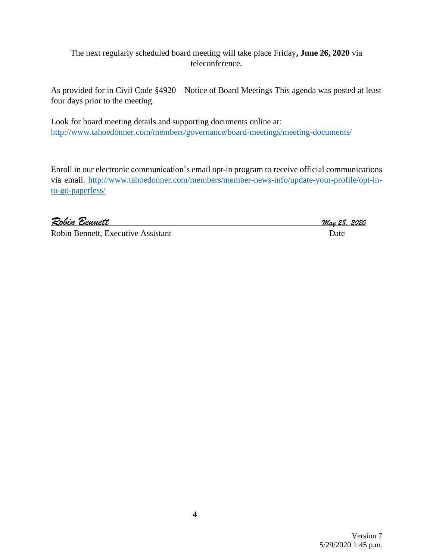The next regularly scheduled board meeting will take place Friday**, June 26, 2020** via teleconference.

As provided for in Civil Code §4920 – Notice of Board Meetings This agenda was posted at least four days prior to the meeting.

Look for board meeting details and supporting documents online at: <http://www.tahoedonner.com/members/governance/board-meetings/meeting-documents/>

Enroll in our electronic communication's email opt-in program to receive official communications via email. [http://www.tahoedonner.com/members/member-news-info/update-your-profile/opt-in](http://www.tahoedonner.com/members/member-news-info/update-your-profile/opt-in-to-go-paperless/)[to-go-paperless/](http://www.tahoedonner.com/members/member-news-info/update-your-profile/opt-in-to-go-paperless/)

*Robin Bennett May 28, <sup>2020</sup>*

Robin Bennett, Executive Assistant Date